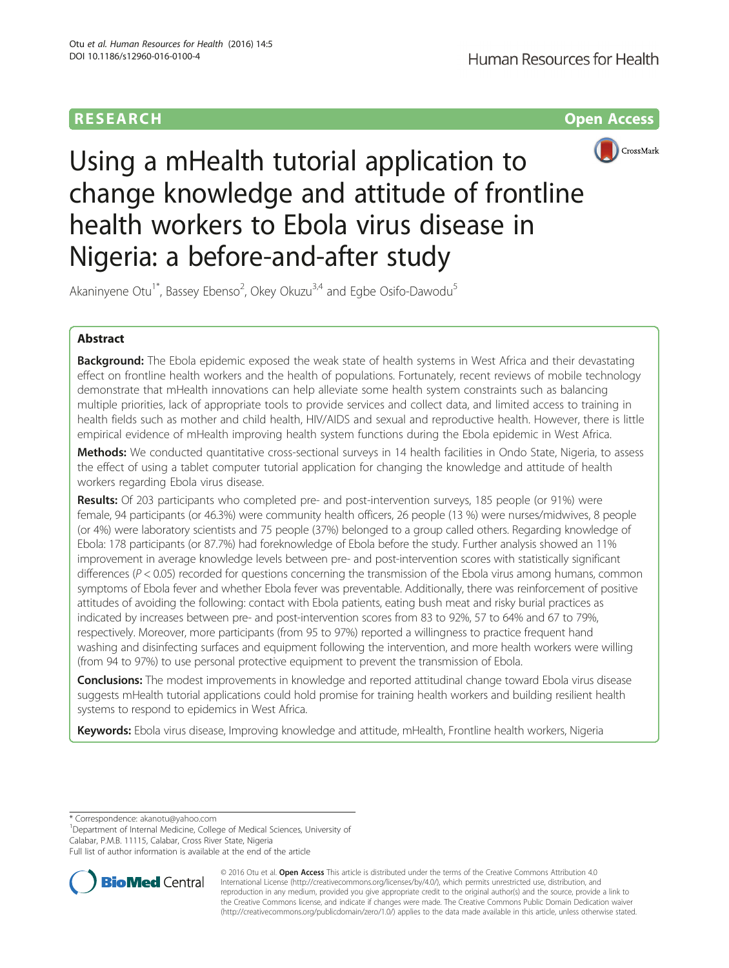# **RESEARCH RESEARCH** *CHECK <b>CHECK*



Using a mHealth tutorial application to change knowledge and attitude of frontline health workers to Ebola virus disease in Nigeria: a before-and-after study

Akaninyene Otu<sup>1\*</sup>, Bassey Ebenso<sup>2</sup>, Okey Okuzu<sup>3,4</sup> and Egbe Osifo-Dawodu<sup>5</sup>

# Abstract

**Background:** The Ebola epidemic exposed the weak state of health systems in West Africa and their devastating effect on frontline health workers and the health of populations. Fortunately, recent reviews of mobile technology demonstrate that mHealth innovations can help alleviate some health system constraints such as balancing multiple priorities, lack of appropriate tools to provide services and collect data, and limited access to training in health fields such as mother and child health, HIV/AIDS and sexual and reproductive health. However, there is little empirical evidence of mHealth improving health system functions during the Ebola epidemic in West Africa.

Methods: We conducted quantitative cross-sectional surveys in 14 health facilities in Ondo State, Nigeria, to assess the effect of using a tablet computer tutorial application for changing the knowledge and attitude of health workers regarding Ebola virus disease.

Results: Of 203 participants who completed pre- and post-intervention surveys, 185 people (or 91%) were female, 94 participants (or 46.3%) were community health officers, 26 people (13 %) were nurses/midwives, 8 people (or 4%) were laboratory scientists and 75 people (37%) belonged to a group called others. Regarding knowledge of Ebola: 178 participants (or 87.7%) had foreknowledge of Ebola before the study. Further analysis showed an 11% improvement in average knowledge levels between pre- and post-intervention scores with statistically significant differences (P < 0.05) recorded for questions concerning the transmission of the Ebola virus among humans, common symptoms of Ebola fever and whether Ebola fever was preventable. Additionally, there was reinforcement of positive attitudes of avoiding the following: contact with Ebola patients, eating bush meat and risky burial practices as indicated by increases between pre- and post-intervention scores from 83 to 92%, 57 to 64% and 67 to 79%, respectively. Moreover, more participants (from 95 to 97%) reported a willingness to practice frequent hand washing and disinfecting surfaces and equipment following the intervention, and more health workers were willing (from 94 to 97%) to use personal protective equipment to prevent the transmission of Ebola.

**Conclusions:** The modest improvements in knowledge and reported attitudinal change toward Ebola virus disease suggests mHealth tutorial applications could hold promise for training health workers and building resilient health systems to respond to epidemics in West Africa.

Keywords: Ebola virus disease, Improving knowledge and attitude, mHealth, Frontline health workers, Nigeria

\* Correspondence: [akanotu@yahoo.com](mailto:akanotu@yahoo.com) <sup>1</sup>

<sup>1</sup>Department of Internal Medicine, College of Medical Sciences, University of Calabar, P.M.B. 11115, Calabar, Cross River State, Nigeria

Full list of author information is available at the end of the article



© 2016 Otu et al. Open Access This article is distributed under the terms of the Creative Commons Attribution 4.0 International License [\(http://creativecommons.org/licenses/by/4.0/](http://creativecommons.org/licenses/by/4.0/)), which permits unrestricted use, distribution, and reproduction in any medium, provided you give appropriate credit to the original author(s) and the source, provide a link to the Creative Commons license, and indicate if changes were made. The Creative Commons Public Domain Dedication waiver [\(http://creativecommons.org/publicdomain/zero/1.0/](http://creativecommons.org/publicdomain/zero/1.0/)) applies to the data made available in this article, unless otherwise stated.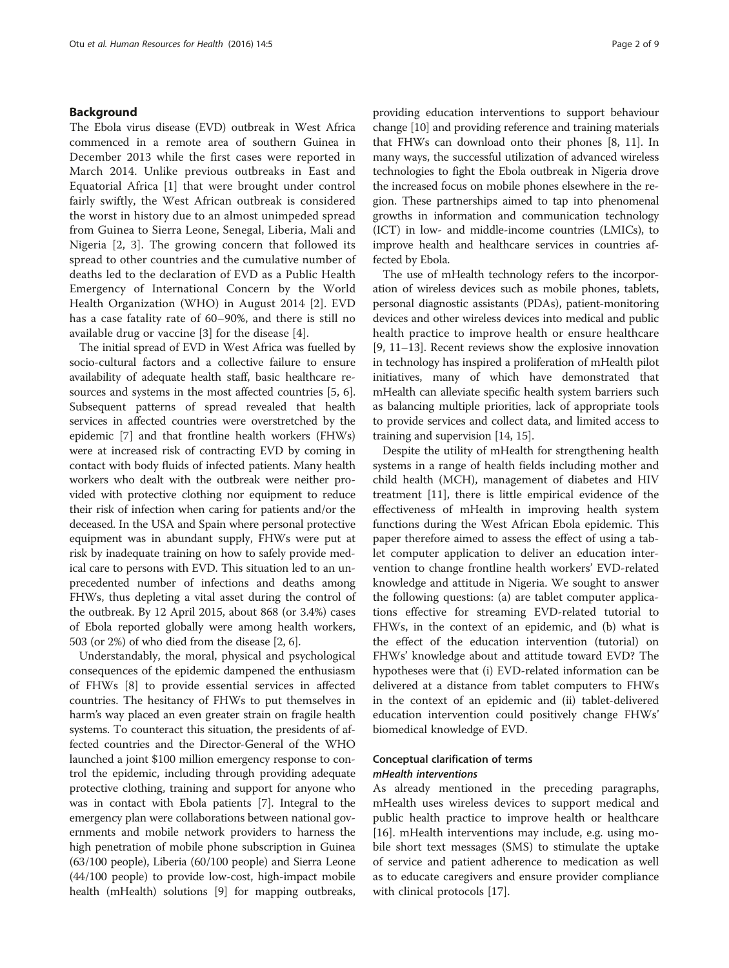## Background

The Ebola virus disease (EVD) outbreak in West Africa commenced in a remote area of southern Guinea in December 2013 while the first cases were reported in March 2014. Unlike previous outbreaks in East and Equatorial Africa [[1\]](#page-7-0) that were brought under control fairly swiftly, the West African outbreak is considered the worst in history due to an almost unimpeded spread from Guinea to Sierra Leone, Senegal, Liberia, Mali and Nigeria [[2](#page-7-0), [3\]](#page-7-0). The growing concern that followed its spread to other countries and the cumulative number of deaths led to the declaration of EVD as a Public Health Emergency of International Concern by the World Health Organization (WHO) in August 2014 [\[2](#page-7-0)]. EVD has a case fatality rate of 60–90%, and there is still no available drug or vaccine [[3\]](#page-7-0) for the disease [\[4](#page-7-0)].

The initial spread of EVD in West Africa was fuelled by socio-cultural factors and a collective failure to ensure availability of adequate health staff, basic healthcare resources and systems in the most affected countries [\[5](#page-7-0), [6](#page-7-0)]. Subsequent patterns of spread revealed that health services in affected countries were overstretched by the epidemic [[7\]](#page-7-0) and that frontline health workers (FHWs) were at increased risk of contracting EVD by coming in contact with body fluids of infected patients. Many health workers who dealt with the outbreak were neither provided with protective clothing nor equipment to reduce their risk of infection when caring for patients and/or the deceased. In the USA and Spain where personal protective equipment was in abundant supply, FHWs were put at risk by inadequate training on how to safely provide medical care to persons with EVD. This situation led to an unprecedented number of infections and deaths among FHWs, thus depleting a vital asset during the control of the outbreak. By 12 April 2015, about 868 (or 3.4%) cases of Ebola reported globally were among health workers, 503 (or 2%) of who died from the disease [\[2](#page-7-0), [6\]](#page-7-0).

Understandably, the moral, physical and psychological consequences of the epidemic dampened the enthusiasm of FHWs [\[8\]](#page-7-0) to provide essential services in affected countries. The hesitancy of FHWs to put themselves in harm's way placed an even greater strain on fragile health systems. To counteract this situation, the presidents of affected countries and the Director-General of the WHO launched a joint \$100 million emergency response to control the epidemic, including through providing adequate protective clothing, training and support for anyone who was in contact with Ebola patients [[7](#page-7-0)]. Integral to the emergency plan were collaborations between national governments and mobile network providers to harness the high penetration of mobile phone subscription in Guinea (63/100 people), Liberia (60/100 people) and Sierra Leone (44/100 people) to provide low-cost, high-impact mobile health (mHealth) solutions [\[9](#page-7-0)] for mapping outbreaks, providing education interventions to support behaviour change [\[10](#page-7-0)] and providing reference and training materials that FHWs can download onto their phones [\[8](#page-7-0), [11](#page-7-0)]. In many ways, the successful utilization of advanced wireless technologies to fight the Ebola outbreak in Nigeria drove the increased focus on mobile phones elsewhere in the region. These partnerships aimed to tap into phenomenal growths in information and communication technology (ICT) in low- and middle-income countries (LMICs), to improve health and healthcare services in countries affected by Ebola.

The use of mHealth technology refers to the incorporation of wireless devices such as mobile phones, tablets, personal diagnostic assistants (PDAs), patient-monitoring devices and other wireless devices into medical and public health practice to improve health or ensure healthcare [[9, 11](#page-7-0)–[13](#page-7-0)]. Recent reviews show the explosive innovation in technology has inspired a proliferation of mHealth pilot initiatives, many of which have demonstrated that mHealth can alleviate specific health system barriers such as balancing multiple priorities, lack of appropriate tools to provide services and collect data, and limited access to training and supervision [\[14, 15](#page-7-0)].

Despite the utility of mHealth for strengthening health systems in a range of health fields including mother and child health (MCH), management of diabetes and HIV treatment [\[11](#page-7-0)], there is little empirical evidence of the effectiveness of mHealth in improving health system functions during the West African Ebola epidemic. This paper therefore aimed to assess the effect of using a tablet computer application to deliver an education intervention to change frontline health workers' EVD-related knowledge and attitude in Nigeria. We sought to answer the following questions: (a) are tablet computer applications effective for streaming EVD-related tutorial to FHWs, in the context of an epidemic, and (b) what is the effect of the education intervention (tutorial) on FHWs' knowledge about and attitude toward EVD? The hypotheses were that (i) EVD-related information can be delivered at a distance from tablet computers to FHWs in the context of an epidemic and (ii) tablet-delivered education intervention could positively change FHWs' biomedical knowledge of EVD.

# Conceptual clarification of terms mHealth interventions

As already mentioned in the preceding paragraphs, mHealth uses wireless devices to support medical and public health practice to improve health or healthcare [[16\]](#page-8-0). mHealth interventions may include, e.g. using mobile short text messages (SMS) to stimulate the uptake of service and patient adherence to medication as well as to educate caregivers and ensure provider compliance with clinical protocols [[17](#page-8-0)].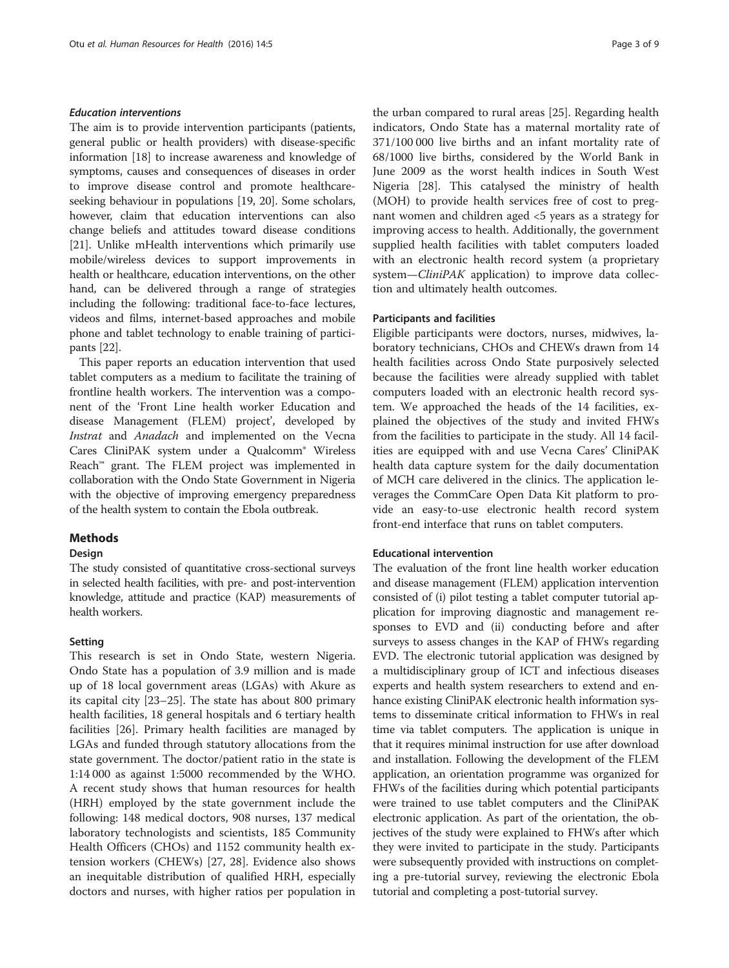### Education interventions

The aim is to provide intervention participants (patients, general public or health providers) with disease-specific information [[18](#page-8-0)] to increase awareness and knowledge of symptoms, causes and consequences of diseases in order to improve disease control and promote healthcareseeking behaviour in populations [\[19, 20\]](#page-8-0). Some scholars, however, claim that education interventions can also change beliefs and attitudes toward disease conditions [[21](#page-8-0)]. Unlike mHealth interventions which primarily use mobile/wireless devices to support improvements in health or healthcare, education interventions, on the other hand, can be delivered through a range of strategies including the following: traditional face-to-face lectures, videos and films, internet-based approaches and mobile phone and tablet technology to enable training of participants [\[22\]](#page-8-0).

This paper reports an education intervention that used tablet computers as a medium to facilitate the training of frontline health workers. The intervention was a component of the 'Front Line health worker Education and disease Management (FLEM) project', developed by Instrat and Anadach and implemented on the Vecna Cares CliniPAK system under a Qualcomm® Wireless Reach™ grant. The FLEM project was implemented in collaboration with the Ondo State Government in Nigeria with the objective of improving emergency preparedness of the health system to contain the Ebola outbreak.

### Methods

### Design

The study consisted of quantitative cross-sectional surveys in selected health facilities, with pre- and post-intervention knowledge, attitude and practice (KAP) measurements of health workers.

### Setting

This research is set in Ondo State, western Nigeria. Ondo State has a population of 3.9 million and is made up of 18 local government areas (LGAs) with Akure as its capital city [[23](#page-8-0)–[25](#page-8-0)]. The state has about 800 primary health facilities, 18 general hospitals and 6 tertiary health facilities [[26\]](#page-8-0). Primary health facilities are managed by LGAs and funded through statutory allocations from the state government. The doctor/patient ratio in the state is 1:14 000 as against 1:5000 recommended by the WHO. A recent study shows that human resources for health (HRH) employed by the state government include the following: 148 medical doctors, 908 nurses, 137 medical laboratory technologists and scientists, 185 Community Health Officers (CHOs) and 1152 community health extension workers (CHEWs) [\[27](#page-8-0), [28\]](#page-8-0). Evidence also shows an inequitable distribution of qualified HRH, especially doctors and nurses, with higher ratios per population in

the urban compared to rural areas [\[25](#page-8-0)]. Regarding health indicators, Ondo State has a maternal mortality rate of 371/100 000 live births and an infant mortality rate of 68/1000 live births, considered by the World Bank in June 2009 as the worst health indices in South West Nigeria [[28\]](#page-8-0). This catalysed the ministry of health (MOH) to provide health services free of cost to pregnant women and children aged <5 years as a strategy for improving access to health. Additionally, the government supplied health facilities with tablet computers loaded with an electronic health record system (a proprietary system—CliniPAK application) to improve data collection and ultimately health outcomes.

#### Participants and facilities

Eligible participants were doctors, nurses, midwives, laboratory technicians, CHOs and CHEWs drawn from 14 health facilities across Ondo State purposively selected because the facilities were already supplied with tablet computers loaded with an electronic health record system. We approached the heads of the 14 facilities, explained the objectives of the study and invited FHWs from the facilities to participate in the study. All 14 facilities are equipped with and use Vecna Cares' CliniPAK health data capture system for the daily documentation of MCH care delivered in the clinics. The application leverages the CommCare Open Data Kit platform to provide an easy-to-use electronic health record system front-end interface that runs on tablet computers.

## Educational intervention

The evaluation of the front line health worker education and disease management (FLEM) application intervention consisted of (i) pilot testing a tablet computer tutorial application for improving diagnostic and management responses to EVD and (ii) conducting before and after surveys to assess changes in the KAP of FHWs regarding EVD. The electronic tutorial application was designed by a multidisciplinary group of ICT and infectious diseases experts and health system researchers to extend and enhance existing CliniPAK electronic health information systems to disseminate critical information to FHWs in real time via tablet computers. The application is unique in that it requires minimal instruction for use after download and installation. Following the development of the FLEM application, an orientation programme was organized for FHWs of the facilities during which potential participants were trained to use tablet computers and the CliniPAK electronic application. As part of the orientation, the objectives of the study were explained to FHWs after which they were invited to participate in the study. Participants were subsequently provided with instructions on completing a pre-tutorial survey, reviewing the electronic Ebola tutorial and completing a post-tutorial survey.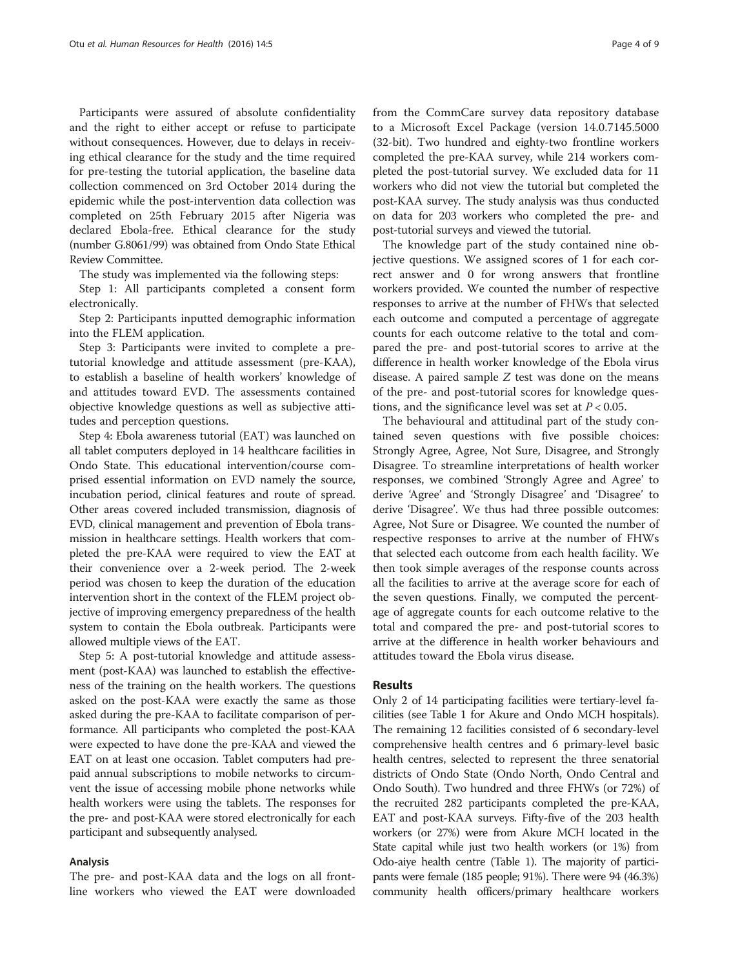Participants were assured of absolute confidentiality and the right to either accept or refuse to participate without consequences. However, due to delays in receiving ethical clearance for the study and the time required for pre-testing the tutorial application, the baseline data collection commenced on 3rd October 2014 during the epidemic while the post-intervention data collection was completed on 25th February 2015 after Nigeria was declared Ebola-free. Ethical clearance for the study (number G.8061/99) was obtained from Ondo State Ethical Review Committee.

The study was implemented via the following steps:

Step 1: All participants completed a consent form electronically.

Step 2: Participants inputted demographic information into the FLEM application.

Step 3: Participants were invited to complete a pretutorial knowledge and attitude assessment (pre-KAA), to establish a baseline of health workers' knowledge of and attitudes toward EVD. The assessments contained objective knowledge questions as well as subjective attitudes and perception questions.

Step 4: Ebola awareness tutorial (EAT) was launched on all tablet computers deployed in 14 healthcare facilities in Ondo State. This educational intervention/course comprised essential information on EVD namely the source, incubation period, clinical features and route of spread. Other areas covered included transmission, diagnosis of EVD, clinical management and prevention of Ebola transmission in healthcare settings. Health workers that completed the pre-KAA were required to view the EAT at their convenience over a 2-week period. The 2-week period was chosen to keep the duration of the education intervention short in the context of the FLEM project objective of improving emergency preparedness of the health system to contain the Ebola outbreak. Participants were allowed multiple views of the EAT.

Step 5: A post-tutorial knowledge and attitude assessment (post-KAA) was launched to establish the effectiveness of the training on the health workers. The questions asked on the post-KAA were exactly the same as those asked during the pre-KAA to facilitate comparison of performance. All participants who completed the post-KAA were expected to have done the pre-KAA and viewed the EAT on at least one occasion. Tablet computers had prepaid annual subscriptions to mobile networks to circumvent the issue of accessing mobile phone networks while health workers were using the tablets. The responses for the pre- and post-KAA were stored electronically for each participant and subsequently analysed.

### Analysis

The pre- and post-KAA data and the logs on all frontline workers who viewed the EAT were downloaded from the CommCare survey data repository database to a Microsoft Excel Package (version 14.0.7145.5000 (32-bit). Two hundred and eighty-two frontline workers completed the pre-KAA survey, while 214 workers completed the post-tutorial survey. We excluded data for 11 workers who did not view the tutorial but completed the post-KAA survey. The study analysis was thus conducted on data for 203 workers who completed the pre- and post-tutorial surveys and viewed the tutorial.

The knowledge part of the study contained nine objective questions. We assigned scores of 1 for each correct answer and 0 for wrong answers that frontline workers provided. We counted the number of respective responses to arrive at the number of FHWs that selected each outcome and computed a percentage of aggregate counts for each outcome relative to the total and compared the pre- and post-tutorial scores to arrive at the difference in health worker knowledge of the Ebola virus disease. A paired sample  $Z$  test was done on the means of the pre- and post-tutorial scores for knowledge questions, and the significance level was set at  $P < 0.05$ .

The behavioural and attitudinal part of the study contained seven questions with five possible choices: Strongly Agree, Agree, Not Sure, Disagree, and Strongly Disagree. To streamline interpretations of health worker responses, we combined 'Strongly Agree and Agree' to derive 'Agree' and 'Strongly Disagree' and 'Disagree' to derive 'Disagree'. We thus had three possible outcomes: Agree, Not Sure or Disagree. We counted the number of respective responses to arrive at the number of FHWs that selected each outcome from each health facility. We then took simple averages of the response counts across all the facilities to arrive at the average score for each of the seven questions. Finally, we computed the percentage of aggregate counts for each outcome relative to the total and compared the pre- and post-tutorial scores to arrive at the difference in health worker behaviours and attitudes toward the Ebola virus disease.

### Results

Only 2 of 14 participating facilities were tertiary-level facilities (see Table [1](#page-4-0) for Akure and Ondo MCH hospitals). The remaining 12 facilities consisted of 6 secondary-level comprehensive health centres and 6 primary-level basic health centres, selected to represent the three senatorial districts of Ondo State (Ondo North, Ondo Central and Ondo South). Two hundred and three FHWs (or 72%) of the recruited 282 participants completed the pre-KAA, EAT and post-KAA surveys. Fifty-five of the 203 health workers (or 27%) were from Akure MCH located in the State capital while just two health workers (or 1%) from Odo-aiye health centre (Table [1\)](#page-4-0). The majority of participants were female (185 people; 91%). There were 94 (46.3%) community health officers/primary healthcare workers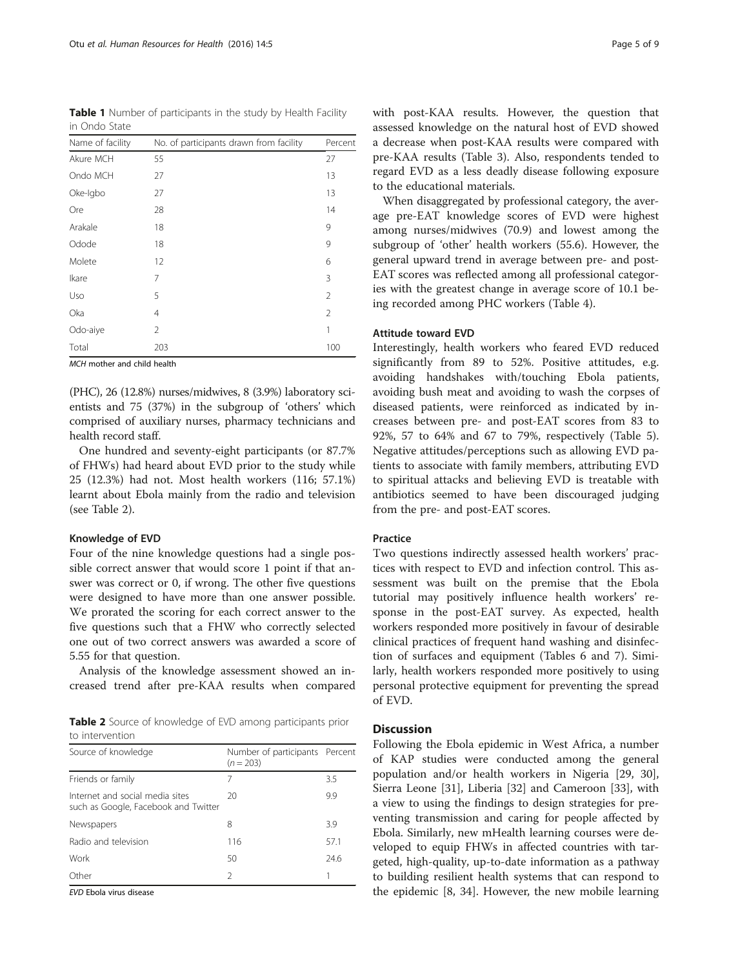<span id="page-4-0"></span>Table 1 Number of participants in the study by Health Facility in Ondo State

| Name of facility | No. of participants drawn from facility | Percent        |
|------------------|-----------------------------------------|----------------|
| Akure MCH        | 55                                      | 27             |
| Ondo MCH         | 27                                      | 13             |
| Oke-Igbo         | 27                                      | 13             |
| Ore              | 28                                      | 14             |
| Arakale          | 18                                      | 9              |
| Odode            | 18                                      | 9              |
| Molete           | 12                                      | 6              |
| Ikare            | 7                                       | 3              |
| Uso              | 5                                       | $\overline{2}$ |
| Oka              | 4                                       | $\overline{2}$ |
| Odo-aiye         | 2                                       | 1              |
| Total            | 203                                     | 100            |

MCH mother and child health

(PHC), 26 (12.8%) nurses/midwives, 8 (3.9%) laboratory scientists and 75 (37%) in the subgroup of 'others' which comprised of auxiliary nurses, pharmacy technicians and health record staff.

One hundred and seventy-eight participants (or 87.7% of FHWs) had heard about EVD prior to the study while 25 (12.3%) had not. Most health workers (116; 57.1%) learnt about Ebola mainly from the radio and television (see Table 2).

#### Knowledge of EVD

Four of the nine knowledge questions had a single possible correct answer that would score 1 point if that answer was correct or 0, if wrong. The other five questions were designed to have more than one answer possible. We prorated the scoring for each correct answer to the five questions such that a FHW who correctly selected one out of two correct answers was awarded a score of 5.55 for that question.

Analysis of the knowledge assessment showed an increased trend after pre-KAA results when compared

Table 2 Source of knowledge of EVD among participants prior to intervention

| Source of knowledge                                                     | Number of participants Percent<br>$(n = 203)$ |      |
|-------------------------------------------------------------------------|-----------------------------------------------|------|
| Friends or family                                                       | 7                                             | 3.5  |
| Internet and social media sites<br>such as Google, Facebook and Twitter | 20                                            | 9.9  |
| Newspapers                                                              | 8                                             | 3.9  |
| Radio and television                                                    | 116                                           | 57.1 |
| Work                                                                    | 50                                            | 24.6 |
| Other                                                                   | $\mathcal{P}$                                 |      |

EVD Ebola virus disease

with post-KAA results. However, the question that assessed knowledge on the natural host of EVD showed a decrease when post-KAA results were compared with pre-KAA results (Table [3](#page-5-0)). Also, respondents tended to regard EVD as a less deadly disease following exposure to the educational materials.

When disaggregated by professional category, the average pre-EAT knowledge scores of EVD were highest among nurses/midwives (70.9) and lowest among the subgroup of 'other' health workers (55.6). However, the general upward trend in average between pre- and post-EAT scores was reflected among all professional categories with the greatest change in average score of 10.1 being recorded among PHC workers (Table [4](#page-5-0)).

### Attitude toward EVD

Interestingly, health workers who feared EVD reduced significantly from 89 to 52%. Positive attitudes, e.g. avoiding handshakes with/touching Ebola patients, avoiding bush meat and avoiding to wash the corpses of diseased patients, were reinforced as indicated by increases between pre- and post-EAT scores from 83 to 92%, 57 to 64% and 67 to 79%, respectively (Table [5](#page-6-0)). Negative attitudes/perceptions such as allowing EVD patients to associate with family members, attributing EVD to spiritual attacks and believing EVD is treatable with antibiotics seemed to have been discouraged judging from the pre- and post-EAT scores.

### Practice

Two questions indirectly assessed health workers' practices with respect to EVD and infection control. This assessment was built on the premise that the Ebola tutorial may positively influence health workers' response in the post-EAT survey. As expected, health workers responded more positively in favour of desirable clinical practices of frequent hand washing and disinfection of surfaces and equipment (Tables [6](#page-6-0) and [7](#page-6-0)). Similarly, health workers responded more positively to using personal protective equipment for preventing the spread of EVD.

## **Discussion**

Following the Ebola epidemic in West Africa, a number of KAP studies were conducted among the general population and/or health workers in Nigeria [\[29, 30](#page-8-0)], Sierra Leone [[31](#page-8-0)], Liberia [\[32\]](#page-8-0) and Cameroon [[33\]](#page-8-0), with a view to using the findings to design strategies for preventing transmission and caring for people affected by Ebola. Similarly, new mHealth learning courses were developed to equip FHWs in affected countries with targeted, high-quality, up-to-date information as a pathway to building resilient health systems that can respond to the epidemic [\[8](#page-7-0), [34\]](#page-8-0). However, the new mobile learning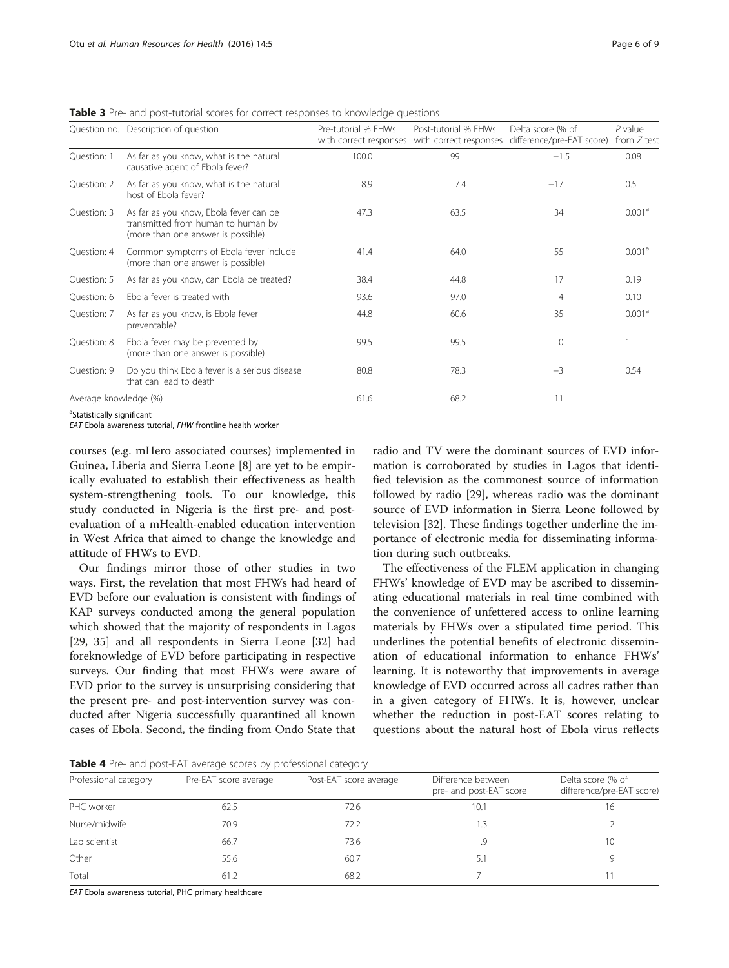|                       | Question no. Description of question                                                                               | Pre-tutorial % FHWs<br>with correct responses | Post-tutorial % FHWs<br>with correct responses | Delta score (% of<br>difference/pre-EAT score) from Z test | $P$ value          |
|-----------------------|--------------------------------------------------------------------------------------------------------------------|-----------------------------------------------|------------------------------------------------|------------------------------------------------------------|--------------------|
| Question: 1           | As far as you know, what is the natural<br>causative agent of Ebola fever?                                         | 100.0                                         | 99                                             | $-1.5$                                                     | 0.08               |
| Question: 2           | As far as you know, what is the natural<br>host of Ebola fever?                                                    | 8.9                                           | 7.4                                            | $-17$                                                      | 0.5                |
| Question: 3           | As far as you know, Ebola fever can be<br>transmitted from human to human by<br>(more than one answer is possible) | 47.3                                          | 63.5                                           | 34                                                         | 0.001 <sup>a</sup> |
| Question: 4           | Common symptoms of Ebola fever include<br>(more than one answer is possible)                                       | 41.4                                          | 64.0                                           | 55                                                         | 0.001 <sup>a</sup> |
| Question: 5           | As far as you know, can Ebola be treated?                                                                          | 38.4                                          | 44.8                                           | 17                                                         | 0.19               |
| Question: 6           | Ebola fever is treated with                                                                                        | 93.6                                          | 97.0                                           | $\overline{4}$                                             | 0.10               |
| Question: 7           | As far as you know, is Ebola fever<br>preventable?                                                                 | 44.8                                          | 60.6                                           | 35                                                         | 0.001 <sup>a</sup> |
| Question: 8           | Ebola fever may be prevented by<br>(more than one answer is possible)                                              | 99.5                                          | 99.5                                           | $\mathbf{0}$                                               |                    |
| Question: 9           | Do you think Ebola fever is a serious disease<br>that can lead to death                                            | 80.8                                          | 78.3                                           | $-3$                                                       | 0.54               |
| Average knowledge (%) |                                                                                                                    | 61.6                                          | 68.2                                           | 11                                                         |                    |

<span id="page-5-0"></span>Table 3 Pre- and post-tutorial scores for correct responses to knowledge questions

<sup>a</sup>Statistically significant

EAT Ebola awareness tutorial, FHW frontline health worker

courses (e.g. mHero associated courses) implemented in Guinea, Liberia and Sierra Leone [\[8\]](#page-7-0) are yet to be empirically evaluated to establish their effectiveness as health system-strengthening tools. To our knowledge, this study conducted in Nigeria is the first pre- and postevaluation of a mHealth-enabled education intervention in West Africa that aimed to change the knowledge and attitude of FHWs to EVD.

Our findings mirror those of other studies in two ways. First, the revelation that most FHWs had heard of EVD before our evaluation is consistent with findings of KAP surveys conducted among the general population which showed that the majority of respondents in Lagos [[29, 35\]](#page-8-0) and all respondents in Sierra Leone [[32\]](#page-8-0) had foreknowledge of EVD before participating in respective surveys. Our finding that most FHWs were aware of EVD prior to the survey is unsurprising considering that the present pre- and post-intervention survey was conducted after Nigeria successfully quarantined all known cases of Ebola. Second, the finding from Ondo State that radio and TV were the dominant sources of EVD information is corroborated by studies in Lagos that identified television as the commonest source of information followed by radio [[29\]](#page-8-0), whereas radio was the dominant source of EVD information in Sierra Leone followed by television [\[32](#page-8-0)]. These findings together underline the importance of electronic media for disseminating information during such outbreaks.

The effectiveness of the FLEM application in changing FHWs' knowledge of EVD may be ascribed to disseminating educational materials in real time combined with the convenience of unfettered access to online learning materials by FHWs over a stipulated time period. This underlines the potential benefits of electronic dissemination of educational information to enhance FHWs' learning. It is noteworthy that improvements in average knowledge of EVD occurred across all cadres rather than in a given category of FHWs. It is, however, unclear whether the reduction in post-EAT scores relating to questions about the natural host of Ebola virus reflects

Table 4 Pre- and post-EAT average scores by professional category

| Professional category | Pre-EAT score average | Post-EAT score average | Difference between<br>pre- and post-EAT score | Delta score (% of<br>difference/pre-EAT score) |
|-----------------------|-----------------------|------------------------|-----------------------------------------------|------------------------------------------------|
| PHC worker            | 62.5                  | 72.6                   | 10.1                                          | 16                                             |
| Nurse/midwife         | 70.9                  | 72.2                   | 1.3                                           |                                                |
| Lab scientist         | 66.7                  | 73.6                   | .9                                            | 10                                             |
| Other                 | 55.6                  | 60.7                   | 5.1                                           | Q                                              |
| Total                 | 61.2                  | 68.2                   |                                               |                                                |

EAT Ebola awareness tutorial, PHC primary healthcare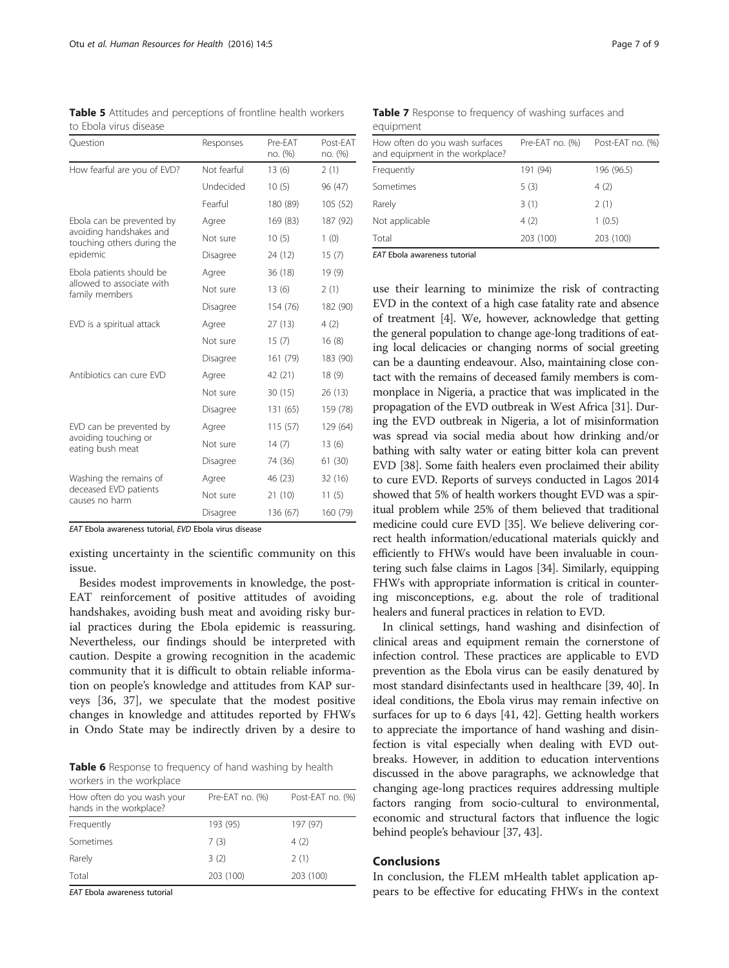| Question                                              | Responses   | Pre-FAT<br>no. (%) | Post-EAT<br>no. (%) |
|-------------------------------------------------------|-------------|--------------------|---------------------|
| How fearful are you of EVD?                           | Not fearful | 13(6)              | 2(1)                |
|                                                       | Undecided   | 10(5)              | 96 (47)             |
|                                                       | Fearful     | 180 (89)           | 105 (52)            |
| Ebola can be prevented by                             | Agree       | 169 (83)           | 187 (92)            |
| avoiding handshakes and<br>touching others during the | Not sure    | 10(5)              | 1(0)                |
| epidemic                                              | Disagree    | 24 (12)            | 15(7)               |
| Ebola patients should be                              | Agree       | 36(18)             | 19(9)               |
| allowed to associate with<br>family members           | Not sure    | 13(6)              | 2(1)                |
|                                                       | Disagree    | 154 (76)           | 182 (90)            |
| EVD is a spiritual attack                             | Agree       | 27(13)             | 4(2)                |
|                                                       | Not sure    | 15(7)              | 16(8)               |
|                                                       | Disagree    | 161 (79)           | 183 (90)            |
| Antibiotics can cure EVD                              | Agree       | 42 (21)            | 18(9)               |
|                                                       | Not sure    | 30(15)             | 26 (13)             |
|                                                       | Disagree    | 131 (65)           | 159 (78)            |
| EVD can be prevented by                               | Agree       | 115(57)            | 129 (64)            |
| avoiding touching or<br>eating bush meat              | Not sure    | 14(7)              | 13(6)               |
|                                                       | Disagree    | 74 (36)            | 61 (30)             |
| Washing the remains of                                | Agree       | 46 (23)            | 32 (16)             |
| deceased EVD patients<br>causes no harm               | Not sure    | 21(10)             | 11(5)               |
|                                                       | Disagree    | 136 (67)           | 160 (79)            |

<span id="page-6-0"></span>Table 5 Attitudes and perceptions of frontline health workers to Ebola virus disease

EAT Ebola awareness tutorial, EVD Ebola virus disease

existing uncertainty in the scientific community on this issue.

Besides modest improvements in knowledge, the post-EAT reinforcement of positive attitudes of avoiding handshakes, avoiding bush meat and avoiding risky burial practices during the Ebola epidemic is reassuring. Nevertheless, our findings should be interpreted with caution. Despite a growing recognition in the academic community that it is difficult to obtain reliable information on people's knowledge and attitudes from KAP surveys [[36, 37\]](#page-8-0), we speculate that the modest positive changes in knowledge and attitudes reported by FHWs in Ondo State may be indirectly driven by a desire to

Table 6 Response to frequency of hand washing by health workers in the workplace

| How often do you wash your<br>hands in the workplace? | Pre-EAT no. (%) | Post-EAT no. (%) |
|-------------------------------------------------------|-----------------|------------------|
| Frequently                                            | 193 (95)        | 197 (97)         |
| Sometimes                                             | 7(3)            | 4(2)             |
| Rarely                                                | 3(2)            | 2(1)             |
| Total                                                 | 203 (100)       | 203 (100)        |

EAT Ebola awareness tutorial

| Cyapolicia                                                        |                 |                  |  |
|-------------------------------------------------------------------|-----------------|------------------|--|
| How often do you wash surfaces<br>and equipment in the workplace? | Pre-EAT no. (%) | Post-EAT no. (%) |  |
| Frequently                                                        | 191 (94)        | 196 (96.5)       |  |
| Sometimes                                                         | 5(3)            | 4(2)             |  |
| Rarely                                                            | 3(1)            | 2(1)             |  |
| Not applicable                                                    | 4(2)            | 1(0.5)           |  |
| Total                                                             | 203 (100)       | 203 (100)        |  |

Table 7 Response to frequency of washing surfaces and

EAT Ebola awareness tutorial

equipment

use their learning to minimize the risk of contracting EVD in the context of a high case fatality rate and absence of treatment [[4\]](#page-7-0). We, however, acknowledge that getting the general population to change age-long traditions of eating local delicacies or changing norms of social greeting can be a daunting endeavour. Also, maintaining close contact with the remains of deceased family members is commonplace in Nigeria, a practice that was implicated in the propagation of the EVD outbreak in West Africa [\[31\]](#page-8-0). During the EVD outbreak in Nigeria, a lot of misinformation was spread via social media about how drinking and/or bathing with salty water or eating bitter kola can prevent EVD [\[38](#page-8-0)]. Some faith healers even proclaimed their ability to cure EVD. Reports of surveys conducted in Lagos 2014 showed that 5% of health workers thought EVD was a spiritual problem while 25% of them believed that traditional medicine could cure EVD [\[35\]](#page-8-0). We believe delivering correct health information/educational materials quickly and efficiently to FHWs would have been invaluable in countering such false claims in Lagos [[34](#page-8-0)]. Similarly, equipping FHWs with appropriate information is critical in countering misconceptions, e.g. about the role of traditional healers and funeral practices in relation to EVD.

In clinical settings, hand washing and disinfection of clinical areas and equipment remain the cornerstone of infection control. These practices are applicable to EVD prevention as the Ebola virus can be easily denatured by most standard disinfectants used in healthcare [[39](#page-8-0), [40\]](#page-8-0). In ideal conditions, the Ebola virus may remain infective on surfaces for up to 6 days [\[41, 42\]](#page-8-0). Getting health workers to appreciate the importance of hand washing and disinfection is vital especially when dealing with EVD outbreaks. However, in addition to education interventions discussed in the above paragraphs, we acknowledge that changing age-long practices requires addressing multiple factors ranging from socio-cultural to environmental, economic and structural factors that influence the logic behind people's behaviour [\[37, 43\]](#page-8-0).

### Conclusions

In conclusion, the FLEM mHealth tablet application appears to be effective for educating FHWs in the context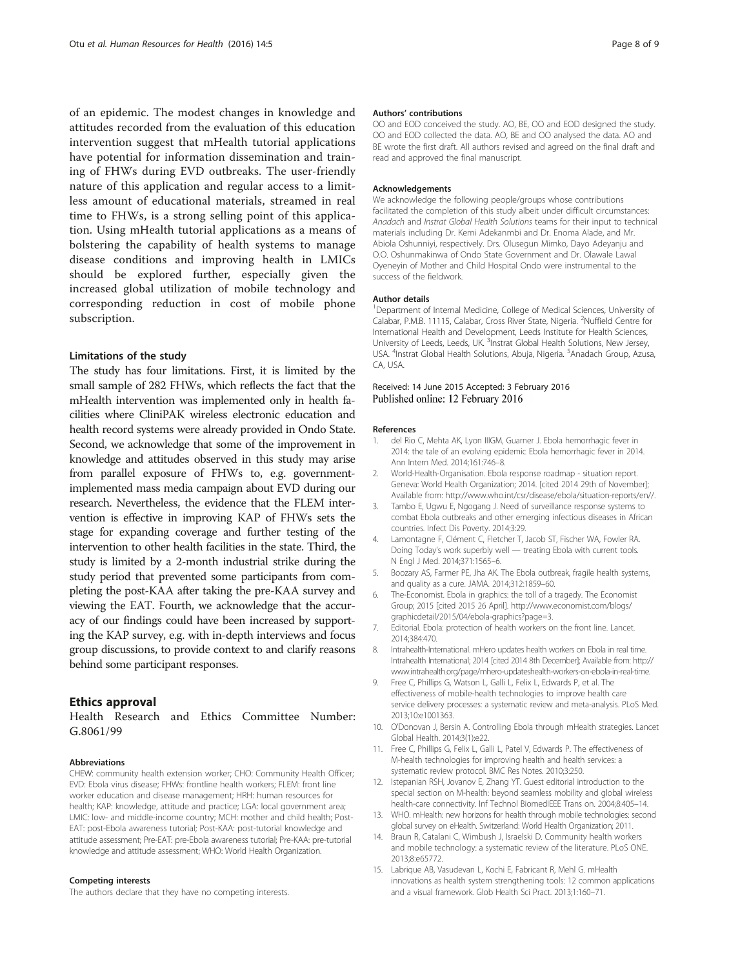<span id="page-7-0"></span>of an epidemic. The modest changes in knowledge and attitudes recorded from the evaluation of this education intervention suggest that mHealth tutorial applications have potential for information dissemination and training of FHWs during EVD outbreaks. The user-friendly nature of this application and regular access to a limitless amount of educational materials, streamed in real time to FHWs, is a strong selling point of this application. Using mHealth tutorial applications as a means of bolstering the capability of health systems to manage disease conditions and improving health in LMICs should be explored further, especially given the increased global utilization of mobile technology and corresponding reduction in cost of mobile phone subscription.

### Limitations of the study

The study has four limitations. First, it is limited by the small sample of 282 FHWs, which reflects the fact that the mHealth intervention was implemented only in health facilities where CliniPAK wireless electronic education and health record systems were already provided in Ondo State. Second, we acknowledge that some of the improvement in knowledge and attitudes observed in this study may arise from parallel exposure of FHWs to, e.g. governmentimplemented mass media campaign about EVD during our research. Nevertheless, the evidence that the FLEM intervention is effective in improving KAP of FHWs sets the stage for expanding coverage and further testing of the intervention to other health facilities in the state. Third, the study is limited by a 2-month industrial strike during the study period that prevented some participants from completing the post-KAA after taking the pre-KAA survey and viewing the EAT. Fourth, we acknowledge that the accuracy of our findings could have been increased by supporting the KAP survey, e.g. with in-depth interviews and focus group discussions, to provide context to and clarify reasons behind some participant responses.

## Ethics approval

Health Research and Ethics Committee Number: G.8061/99

#### Abbreviations

CHEW: community health extension worker; CHO: Community Health Officer; EVD: Ebola virus disease; FHWs: frontline health workers; FLEM: front line worker education and disease management; HRH: human resources for health; KAP: knowledge, attitude and practice; LGA: local government area; LMIC: low- and middle-income country; MCH: mother and child health; Post-EAT: post-Ebola awareness tutorial; Post-KAA: post-tutorial knowledge and attitude assessment; Pre-EAT: pre-Ebola awareness tutorial; Pre-KAA: pre-tutorial knowledge and attitude assessment; WHO: World Health Organization.

### Competing interests

The authors declare that they have no competing interests.

#### Authors' contributions

OO and EOD conceived the study. AO, BE, OO and EOD designed the study. OO and EOD collected the data. AO, BE and OO analysed the data. AO and BE wrote the first draft. All authors revised and agreed on the final draft and read and approved the final manuscript.

#### Acknowledgements

We acknowledge the following people/groups whose contributions facilitated the completion of this study albeit under difficult circumstances: Anadach and Instrat Global Health Solutions teams for their input to technical materials including Dr. Kemi Adekanmbi and Dr. Enoma Alade, and Mr. Abiola Oshunniyi, respectively. Drs. Olusegun Mimko, Dayo Adeyanju and O.O. Oshunmakinwa of Ondo State Government and Dr. Olawale Lawal Oyeneyin of Mother and Child Hospital Ondo were instrumental to the success of the fieldwork.

#### Author details

<sup>1</sup>Department of Internal Medicine, College of Medical Sciences, University of Calabar, P.M.B. 11115, Calabar, Cross River State, Nigeria. <sup>2</sup>Nuffield Centre for International Health and Development, Leeds Institute for Health Sciences, University of Leeds, Leeds, UK. <sup>3</sup>Instrat Global Health Solutions, New Jersey, USA. <sup>4</sup>Instrat Global Health Solutions, Abuja, Nigeria. <sup>5</sup>Anadach Group, Azusa CA, USA.

### Received: 14 June 2015 Accepted: 3 February 2016 Published online: 12 February 2016

#### References

- 1. del Rio C, Mehta AK, Lyon IIIGM, Guarner J. Ebola hemorrhagic fever in 2014: the tale of an evolving epidemic Ebola hemorrhagic fever in 2014. Ann Intern Med. 2014;161:746–8.
- 2. World-Health-Organisation. Ebola response roadmap situation report. Geneva: World Health Organization; 2014. [cited 2014 29th of November]; Available from:<http://www.who.int/csr/disease/ebola/situation-reports/en/>/.
- 3. Tambo E, Ugwu E, Ngogang J. Need of surveillance response systems to combat Ebola outbreaks and other emerging infectious diseases in African countries. Infect Dis Poverty. 2014;3:29.
- 4. Lamontagne F, Clément C, Fletcher T, Jacob ST, Fischer WA, Fowler RA. Doing Today's work superbly well — treating Ebola with current tools. N Engl J Med. 2014;371:1565–6.
- 5. Boozary AS, Farmer PE, Jha AK. The Ebola outbreak, fragile health systems, and quality as a cure. JAMA. 2014;312:1859–60.
- 6. The-Economist. Ebola in graphics: the toll of a tragedy. The Economist Group; 2015 [cited 2015 26 April]. [http://www.economist.com/blogs/](http://www.economist.com/blogs/graphicdetail/2015/04/ebola-graphics?page=3) [graphicdetail/2015/04/ebola-graphics?page=3.](http://www.economist.com/blogs/graphicdetail/2015/04/ebola-graphics?page=3)
- 7. Editorial. Ebola: protection of health workers on the front line. Lancet. 2014;384:470.
- 8. Intrahealth-International. mHero updates health workers on Ebola in real time. Intrahealth International; 2014 [cited 2014 8th December]; Available from: [http://](http://www.intrahealth.org/page/mhero-updateshealth-workers-on-ebola-in-real-time) [www.intrahealth.org/page/mhero-updateshealth-workers-on-ebola-in-real-time](http://www.intrahealth.org/page/mhero-updateshealth-workers-on-ebola-in-real-time).
- 9. Free C, Phillips G, Watson L, Galli L, Felix L, Edwards P, et al. The effectiveness of mobile-health technologies to improve health care service delivery processes: a systematic review and meta-analysis. PLoS Med. 2013;10:e1001363.
- 10. O'Donovan J, Bersin A. Controlling Ebola through mHealth strategies. Lancet Global Health. 2014;3(1):e22.
- 11. Free C, Phillips G, Felix L, Galli L, Patel V, Edwards P. The effectiveness of M-health technologies for improving health and health services: a systematic review protocol. BMC Res Notes. 2010;3:250.
- 12. Istepanian RSH, Jovanov E, Zhang YT. Guest editorial introduction to the special section on M-health: beyond seamless mobility and global wireless health-care connectivity. Inf Technol BiomedIEEE Trans on. 2004;8:405–14.
- 13. WHO. mHealth: new horizons for health through mobile technologies: second global survey on eHealth. Switzerland: World Health Organization; 2011.
- 14. Braun R, Catalani C, Wimbush J, Israelski D. Community health workers and mobile technology: a systematic review of the literature. PLoS ONE. 2013;8:e65772.
- 15. Labrique AB, Vasudevan L, Kochi E, Fabricant R, Mehl G. mHealth innovations as health system strengthening tools: 12 common applications and a visual framework. Glob Health Sci Pract. 2013;1:160–71.